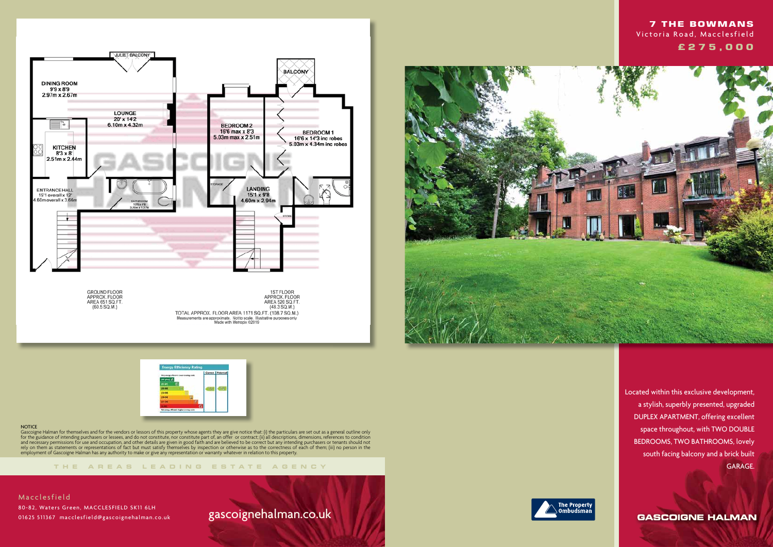





### **NOTICE**

**THE AREA S LEADING ES T A TE A G E N C Y**

Gascoigne Halman for themselves and for the vendors or lessors of this property whose agents they are give notice that: (i) the particulars are set out as a general outline only for the guidance of intending purchasers or lessees, and do not constitute, nor constitute part of, an offer or contract; (ii) all descriptions, dimensions, references to condition and necessary permissions for use and occupation, and other details are given in good faith and are believed to be correct but any intending purchasers or tenants should not rely on them as statements or representations of fact but must satisfy themselves by inspection or otherwise as to the correctness of each of them; (iii) no person in the employment of Gascoigne Halman has any authority to make or give any representation or warranty whatever in relation to this property.

# gascoignehalman.co.uk





 Located within this exclusive development, a stylish, superbly presented, upgraded DUPLEX APARTMENT, offering excellent space throughout, with TWO DOUBLE BEDROOMS, TWO BATHROOMS, lovely south facing balcony and a brick built GARAGE.

**GASCOIGNE HALMAN** 

## **7 THE BOWMANS** Victoria Road, Macclesfield  **£ 2 7 5 , 0 0 0**